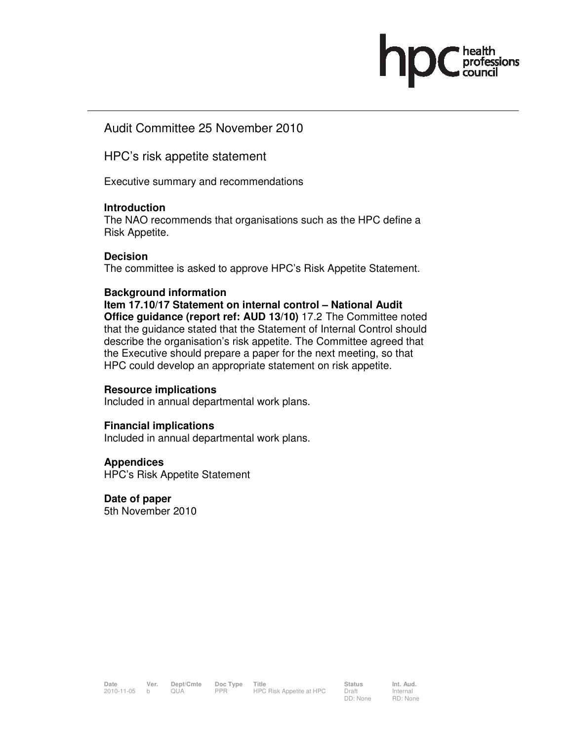

## Audit Committee 25 November 2010

HPC's risk appetite statement

Executive summary and recommendations

## **Introduction**

The NAO recommends that organisations such as the HPC define a Risk Appetite.

#### **Decision**

The committee is asked to approve HPC's Risk Appetite Statement.

## **Background information**

**Item 17.10/17 Statement on internal control – National Audit Office guidance (report ref: AUD 13/10)** 17.2 The Committee noted that the guidance stated that the Statement of Internal Control should describe the organisation's risk appetite. The Committee agreed that the Executive should prepare a paper for the next meeting, so that HPC could develop an appropriate statement on risk appetite.

#### **Resource implications**

Included in annual departmental work plans.

## **Financial implications**

Included in annual departmental work plans.

#### **Appendices**

HPC's Risk Appetite Statement

## **Date of paper**

5th November 2010